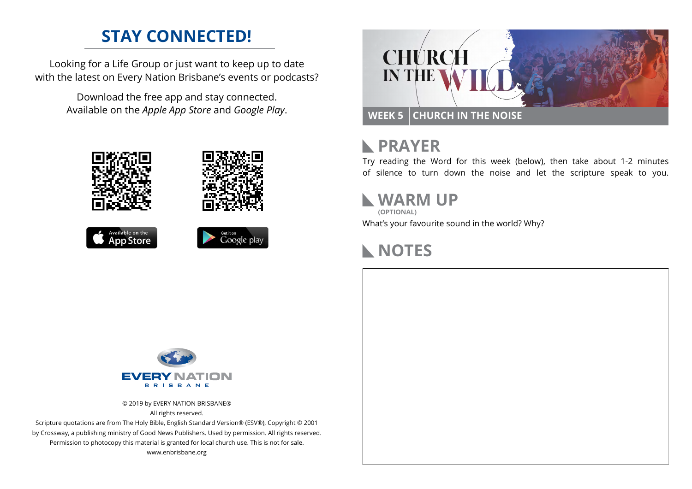## **STAY CONNECTED!**

Looking for a Life Group or just want to keep up to date with the latest on Every Nation Brisbane's events or podcasts?

> Download the free app and stay connected. Available on the *Apple App Store* and *Google Play*.











#### **PRAYER**  $\mathbb{R}$

Try reading the Word for this week (below), then take about 1-2 minutes of silence to turn down the noise and let the scripture speak to you.

#### **WARM UP**

What's your favourite sound in the world? Why? **(OPTIONAL)**

### **NOTES**



© 2019 by EVERY NATION BRISBANE® All rights reserved.

Scripture quotations are from The Holy Bible, English Standard Version® (ESV®), Copyright © 2001 by Crossway, a publishing ministry of Good News Publishers. Used by permission. All rights reserved. Permission to photocopy this material is granted for local church use. This is not for sale. www.enbrisbane.org